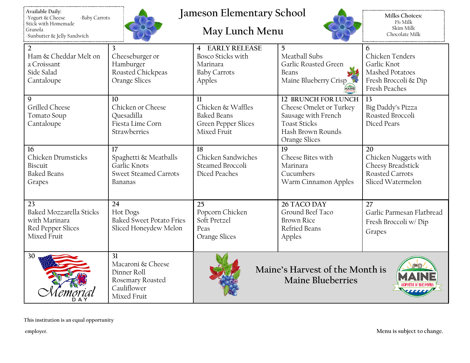| : Available Daily:<br>Yogurt & Cheese | -Baby Carrots |
|---------------------------------------|---------------|
| Stick with Homemade                   |               |
| : Granola                             |               |
| Sunbutter & Jelly Sandwich            |               |



## **Jameson Elementary School**

## **May Lunch Menu**



**Milks Choices:** 1% Milk Skim Milk Chocolate Milk

İ

| $\overline{2}$                 | 3                               | <b>4 EARLY RELEASE</b>     | 5                               | 6                         |
|--------------------------------|---------------------------------|----------------------------|---------------------------------|---------------------------|
| Ham & Cheddar Melt on          | Cheeseburger or                 | Bosco Sticks with          | Meatball Subs                   | Chicken Tenders           |
| a Croissant                    | Hamburger                       | Marinara                   | Garlic Roasted Green            | Garlic Knot               |
| Side Salad                     | Roasted Chickpeas               | <b>Baby Carrots</b>        | Beans                           | Mashed Potatoes           |
| Cantaloupe                     | Orange Slices                   | Apples                     | Maine Blueberry Crisp           | Fresh Broccoli & Dip      |
|                                |                                 |                            | MAINE                           | <b>Fresh Peaches</b>      |
| 9                              | 10                              | $\mathbf{1}$               | <b>12 BRUNCH FOR LUNCH</b>      | 13                        |
| Grilled Cheese                 | Chicken or Cheese               | Chicken & Waffles          | Cheese Omelet or Turkey         | Big Daddy's Pizza         |
| Tomato Soup                    | Quesadilla                      | <b>Baked Beans</b>         | Sausage with French             | Roasted Broccoli          |
| Cantaloupe                     | Fiesta Lime Corn                | <b>Green Pepper Slices</b> | <b>Toast Sticks</b>             | Diced Pears               |
|                                | Strawberries                    | Mixed Fruit                | Hash Brown Rounds               |                           |
|                                |                                 |                            | Orange Slices                   |                           |
| 16                             | 17                              | 18                         | 19                              | 20                        |
| Chicken Drumsticks             | Spaghetti & Meatballs           | Chicken Sandwiches         | Cheese Bites with               | Chicken Nuggets with      |
| Biscuit                        | Garlic Knots                    | Steamed Broccoli           | Marinara                        | Cheesy Breadstick         |
| <b>Baked Beans</b>             | <b>Sweet Steamed Carrots</b>    | Diced Peaches              | Cucumbers                       | Roasted Carrots           |
| Grapes                         | Bananas                         |                            | Warm Cinnamon Apples            | Sliced Watermelon         |
|                                |                                 |                            |                                 |                           |
| 23                             | 24                              | 25                         | 26 TACO DAY                     | $\overline{27}$           |
| <b>Baked Mozzarella Sticks</b> | Hot Dogs                        | Popcorn Chicken            | Ground Beef Taco                | Garlic Parmesan Flatbread |
| with Marinara                  | <b>Baked Sweet Potato Fries</b> | Soft Pretzel               | <b>Brown Rice</b>               | Fresh Broccoli w/Dip      |
| Red Pepper Slices              | Sliced Honeydew Melon           | Peas                       | Refried Beans                   |                           |
| Mixed Fruit                    |                                 | Orange Slices              | Apples                          | Grapes                    |
|                                |                                 |                            |                                 |                           |
| 30                             | 31                              |                            |                                 |                           |
|                                | Macaroni & Cheese               |                            | Maine's Harvest of the Month is |                           |
|                                | Dinner Roll                     |                            |                                 |                           |
|                                | Rosemary Roasted                |                            | <b>Maine Blueberries</b>        |                           |
|                                | Cauliflower                     |                            |                                 |                           |
|                                | Mixed Fruit                     |                            |                                 |                           |

**This institution is an equal opportunity**

**employer. Menu is subject to change.**